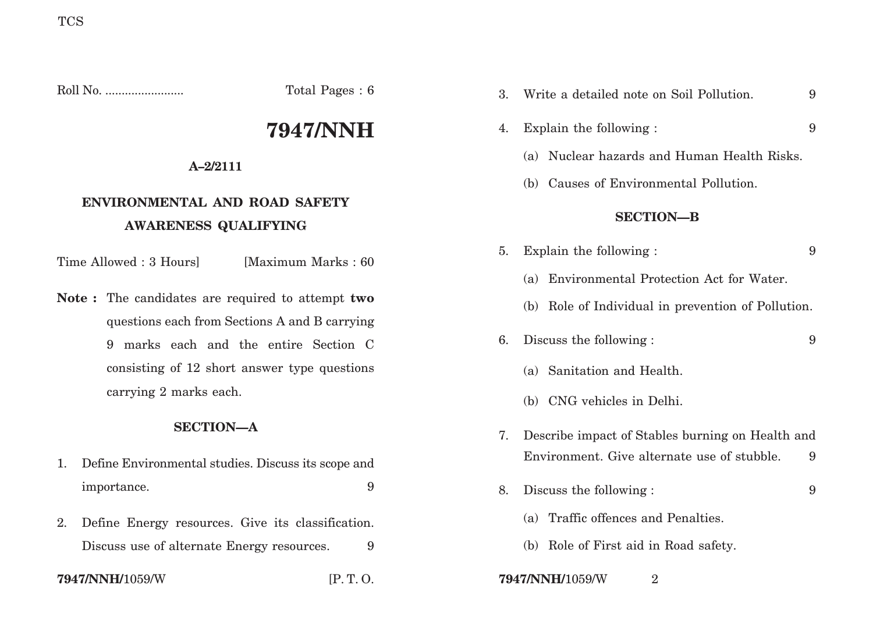Roll No. ........................ Total Pages : 6

# **7947/NNH**

# **A–2/2111**

# **ENVIRONMENTAL AND ROAD SAFETY AWARENESS QUALIFYING**

Time Allowed : 3 Hours [Maximum Marks : 60]

**Note :** The candidates are required to attempt **two** questions each from Sections A and B carrying 9 marks each and the entire Section C consisting of 12 short answer type questions carrying 2 marks each.

# **SECTION—A**

- 1. Define Environmental studies. Discuss its scope and importance. 9
- 2. Define Energy resources. Give its classification. Discuss use of alternate Energy resources. 9

### **7947/NNH/**1059/W [P. T. O. **7947/NNH/**1059/W <sup>2</sup>

| 3. | Write a detailed note on Soil Pollution.           | 9 |
|----|----------------------------------------------------|---|
| 4. | Explain the following :                            | 9 |
|    | Nuclear hazards and Human Health Risks.<br>(a)     |   |
|    | (b) Causes of Environmental Pollution.             |   |
|    | <b>SECTION-B</b>                                   |   |
| 5. | Explain the following :                            | 9 |
|    | (a) Environmental Protection Act for Water.        |   |
|    | (b) Role of Individual in prevention of Pollution. |   |
| 6. | Discuss the following :                            | 9 |
|    | (a) Sanitation and Health.                         |   |
|    | (b) CNG vehicles in Delhi.                         |   |
| 7. | Describe impact of Stables burning on Health and   |   |
|    | Environment. Give alternate use of stubble.        | 9 |
| 8. | Discuss the following :                            | 9 |
|    | (a) Traffic offences and Penalties.                |   |
|    | (b) Role of First aid in Road safety.              |   |
|    |                                                    |   |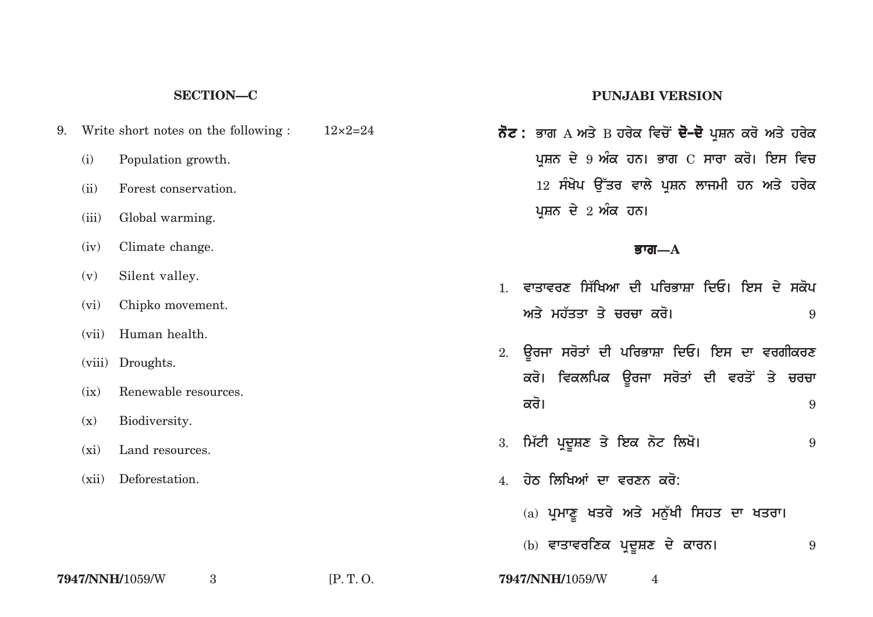#### **SECTION—C**

- 9. Write short notes on the following :  $12 \times 2=24$ (i) Population growth. (ii) Forest conservation. (iii) Global warming. (iv) Climate change. (v) Silent valley. (vi) Chipko movement. (vii) Human health. (viii) Droughts. (ix) Renewable resources. (x) Biodiversity.
	- (xi) Land resources.
	- (xii) Deforestation.

#### **PUNJABI VERSION**

 $\vec{\delta}$ ਟ : ਭਾਗ A ਅਤੇ B ਹਰੇਕ ਵਿਚੋਂ **ਦੋ–ਦੋ** ਪੁਸ਼ਨ ਕਰੋ ਅਤੇ ਹਰੇਕ ਪਸ਼ਨ ਦੇ 9 ਅੰਕ ਹਨ। ਭਾਗ C ਸਾਰਾ ਕਰੋ। ਇਸ ਵਿਚ 12 ਸੰਖੇਪ ਉੱਤਰ ਵਾਲੇ ਪੁਸ਼ਨ ਲਾਜਮੀ ਹਨ ਅਤੇ ਹਰੇਕ ਪਸ਼ਨ ਦੇ 2 ਅੰਕ ਹਨ।

#### **Bwg—A**

- 1. ਵਾਤਾਵਰਣ ਸਿੱਖਿਆ ਦੀ ਪਰਿਭਾਸ਼ਾ ਦਿਓ। ਇਸ ਦੇ ਸਕੋਪ  $\overline{a}$  ਅਤੇ ਮਹੱਤਤਾ ਤੇ ਚਰਚਾ ਕਰੋ। ਬਿਨਾਇਤ ਸ਼ਾਹਿ ਅਤੇ 19
- 2. ਉਰਜਾ ਸਰੋਤਾਂ ਦੀ ਪਰਿਭਾਸ਼ਾ ਦਿਓ। ਇਸ ਦਾ ਵਰਗੀਕਰਣ ਕਰੋ। ਵਿਕਲਪਿਕ ਉਰਜਾ ਸਰੋਤਾਂ ਦੀ ਵਰਤੋਂ ਤੇ **ਚਰਚਾ kro[** <sup>9</sup>
- 3. **im`tI pRdUSx qy iek not ilKo[** <sup>9</sup>
- <u>4 ਹੇਨ ਲਿਖਿਆਂ ਦਾ ਵਰਣਨ ਕਰੋ:</u>
	- (a) ਪ੍ਰਮਾਣੂ ਖਤਰੇ ਅਤੇ ਮਨੁੱਖੀ ਸਿਹਤ ਦਾ ਖਤਰਾ।
	- (b) ਵਾਤਾਵਰਣਿਕ ਪ੍ਰਦੂਸ਼ਣ ਦੇ ਕਾਰਨ। 9

**7947/NNH/**1059/W <sup>3</sup> [P. T. O. **7947/NNH/**1059/W <sup>4</sup>